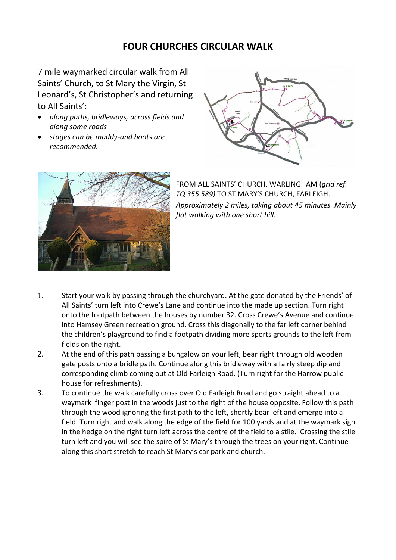## **FOUR CHURCHES CIRCULAR WALK**

7 mile waymarked circular walk from All Saints' Church, to St Mary the Virgin, St Leonard's, St Christopher's and returning to All Saints':

- *along paths, bridleways, across fields and along some roads*
- *stages can be muddy-and boots are recommended.*





FROM ALL SAINTS' CHURCH, WARLINGHAM (*grid ref. TQ 355 589)* TO ST MARY'S CHURCH, FARLEIGH. *Approximately 2 miles, taking about 45 minutes .Mainly flat walking with one short hill.*

- 1. Start your walk by passing through the churchyard. At the gate donated by the Friends' of All Saints' turn left into Crewe's Lane and continue into the made up section. Turn right onto the footpath between the houses by number 32. Cross Crewe's Avenue and continue into Hamsey Green recreation ground. Cross this diagonally to the far left corner behind the children's playground to find a footpath dividing more sports grounds to the left from fields on the right.
- 2. At the end of this path passing a bungalow on your left, bear right through old wooden gate posts onto a bridle path. Continue along this bridleway with a fairly steep dip and corresponding climb coming out at Old Farleigh Road. (Turn right for the Harrow public house for refreshments).
- 3. To continue the walk carefully cross over Old Farleigh Road and go straight ahead to a waymark finger post in the woods just to the right of the house opposite. Follow this path through the wood ignoring the first path to the left, shortly bear left and emerge into a field. Turn right and walk along the edge of the field for 100 yards and at the waymark sign in the hedge on the right turn left across the centre of the field to a stile. Crossing the stile turn left and you will see the spire of St Mary's through the trees on your right. Continue along this short stretch to reach St Mary's car park and church.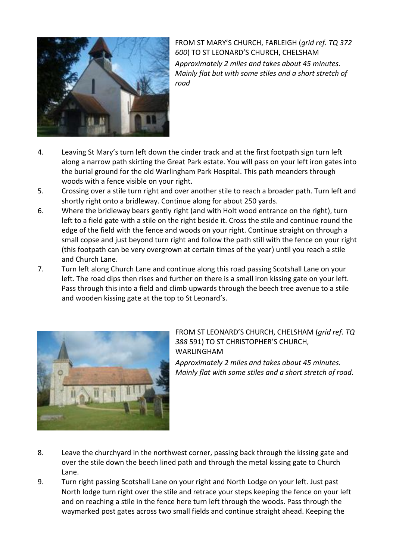

FROM ST MARY'S CHURCH, FARLEIGH (*grid ref. TQ 372 600*) TO ST LEONARD'S CHURCH, CHELSHAM *Approximately 2 miles and takes about 45 minutes. Mainly flat but with some stiles and a short stretch of road*

- 4. Leaving St Mary's turn left down the cinder track and at the first footpath sign turn left along a narrow path skirting the Great Park estate. You will pass on your left iron gates into the burial ground for the old Warlingham Park Hospital. This path meanders through woods with a fence visible on your right.
- 5. Crossing over a stile turn right and over another stile to reach a broader path. Turn left and shortly right onto a bridleway. Continue along for about 250 yards.
- 6. Where the bridleway bears gently right (and with Holt wood entrance on the right), turn left to a field gate with a stile on the right beside it. Cross the stile and continue round the edge of the field with the fence and woods on your right. Continue straight on through a small copse and just beyond turn right and follow the path still with the fence on your right (this footpath can be very overgrown at certain times of the year) until you reach a stile and Church Lane.
- 7. Turn left along Church Lane and continue along this road passing Scotshall Lane on your left. The road dips then rises and further on there is a small iron kissing gate on your left. Pass through this into a field and climb upwards through the beech tree avenue to a stile and wooden kissing gate at the top to St Leonard's.



FROM ST LEONARD'S CHURCH, CHELSHAM (*grid ref. TQ 388* 591) TO ST CHRISTOPHER'S CHURCH, WARLINGHAM

*Approximately 2 miles and takes about 45 minutes. Mainly flat with some stiles and a short stretch of road.*

- 8. Leave the churchyard in the northwest corner, passing back through the kissing gate and over the stile down the beech lined path and through the metal kissing gate to Church Lane.
- 9. Turn right passing Scotshall Lane on your right and North Lodge on your left. Just past North lodge turn right over the stile and retrace your steps keeping the fence on your left and on reaching a stile in the fence here turn left through the woods. Pass through the waymarked post gates across two small fields and continue straight ahead. Keeping the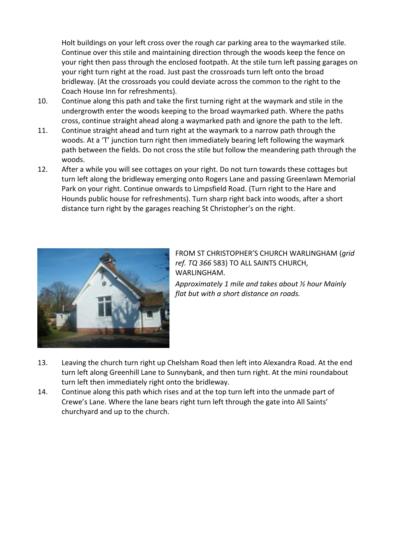Holt buildings on your left cross over the rough car parking area to the waymarked stile. Continue over this stile and maintaining direction through the woods keep the fence on your right then pass through the enclosed footpath. At the stile turn left passing garages on your right turn right at the road. Just past the crossroads turn left onto the broad bridleway. (At the crossroads you could deviate across the common to the right to the Coach House Inn for refreshments).

- 10. Continue along this path and take the first turning right at the waymark and stile in the undergrowth enter the woods keeping to the broad waymarked path. Where the paths cross, continue straight ahead along a waymarked path and ignore the path to the left.
- 11. Continue straight ahead and turn right at the waymark to a narrow path through the woods. At a 'T' junction turn right then immediately bearing left following the waymark path between the fields. Do not cross the stile but follow the meandering path through the woods.
- 12. After a while you will see cottages on your right. Do not turn towards these cottages but turn left along the bridleway emerging onto Rogers Lane and passing Greenlawn Memorial Park on your right. Continue onwards to Limpsfield Road. (Turn right to the Hare and Hounds public house for refreshments). Turn sharp right back into woods, after a short distance turn right by the garages reaching St Christopher's on the right.



FROM ST CHRISTOPHER'S CHURCH WARLINGHAM (*grid ref. TQ 366* 583) TO ALL SAINTS CHURCH, WARLINGHAM.

*Approximately 1 mile and takes about ½ hour Mainly flat but with a short distance on roads.*

- 13. Leaving the church turn right up Chelsham Road then left into Alexandra Road. At the end turn left along Greenhill Lane to Sunnybank, and then turn right. At the mini roundabout turn left then immediately right onto the bridleway.
- 14. Continue along this path which rises and at the top turn left into the unmade part of Crewe's Lane. Where the lane bears right turn left through the gate into All Saints' churchyard and up to the church.